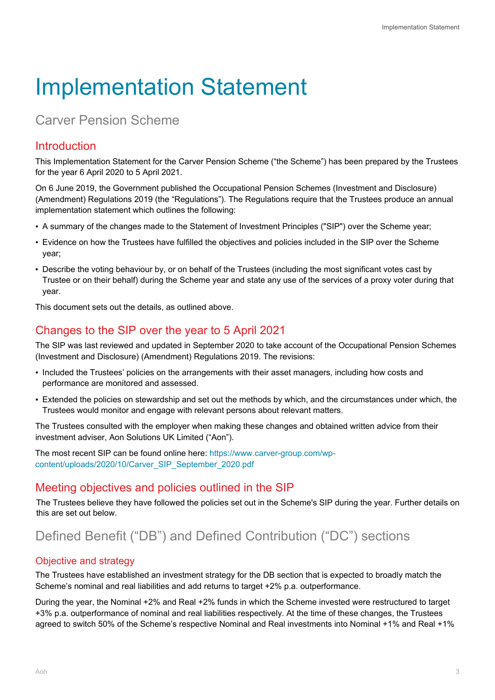# Implementation Statement

# Carver Pension Scheme

## Introduction

This Implementation Statement for the Carver Pension Scheme ("the Scheme") has been prepared by the Trustees for the year 6 April 2020 to 5 April 2021.

On 6 June 2019, the Government published the Occupational Pension Schemes (Investment and Disclosure) (Amendment) Regulations 2019 (the "Regulations"). The Regulations require that the Trustees produce an annual implementation statement which outlines the following:

- A summary of the changes made to the Statement of Investment Principles ("SIP") over the Scheme year;
- Evidence on how the Trustees have fulfilled the objectives and policies included in the SIP over the Scheme year;
- Describe the voting behaviour by, or on behalf of the Trustees (including the most significant votes cast by Trustee or on their behalf) during the Scheme year and state any use of the services of a proxy voter during that year.

This document sets out the details, as outlined above.

## Changes to the SIP over the year to 5 April 2021

The SIP was last reviewed and updated in September 2020 to take account of the Occupational Pension Schemes (Investment and Disclosure) (Amendment) Regulations 2019. The revisions:

- Included the Trustees' policies on the arrangements with their asset managers, including how costs and performance are monitored and assessed.
- Extended the policies on stewardship and set out the methods by which, and the circumstances under which, the Trustees would monitor and engage with relevant persons about relevant matters.

The Trustees consulted with the employer when making these changes and obtained written advice from their investment adviser, Aon Solutions UK Limited ("Aon").

The most recent SIP can be found online here: [https://www.carver-group.com/wp](https://www.carver-group.com/wp-content/uploads/2020/10/Carver_SIP_September_2020.pdf)[content/uploads/2020/10/Carver\\_SIP\\_September\\_2020.pdf](https://www.carver-group.com/wp-content/uploads/2020/10/Carver_SIP_September_2020.pdf)

## Meeting objectives and policies outlined in the SIP

The Trustees believe they have followed the policies set out in the Scheme's SIP during the year. Further details on this are set out below.

# Defined Benefit ("DB") and Defined Contribution ("DC") sections

#### Objective and strategy

The Trustees have established an investment strategy for the DB section that is expected to broadly match the Scheme's nominal and real liabilities and add returns to target +2% p.a. outperformance.

During the year, the Nominal +2% and Real +2% funds in which the Scheme invested were restructured to target +3% p.a. outperformance of nominal and real liabilities respectively. At the time of these changes, the Trustees agreed to switch 50% of the Scheme's respective Nominal and Real investments into Nominal +1% and Real +1%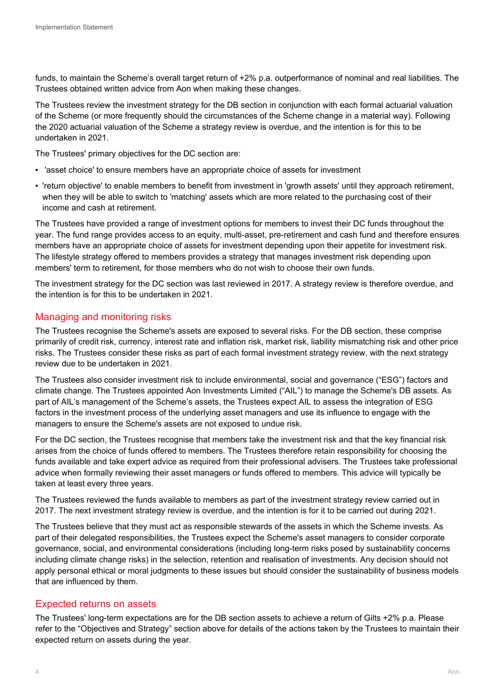funds, to maintain the Scheme's overall target return of +2% p.a. outperformance of nominal and real liabilities. The Trustees obtained written advice from Aon when making these changes.

The Trustees review the investment strategy for the DB section in conjunction with each formal actuarial valuation of the Scheme (or more frequently should the circumstances of the Scheme change in a material way). Following the 2020 actuarial valuation of the Scheme a strategy review is overdue, and the intention is for this to be undertaken in 2021.

The Trustees' primary objectives for the DC section are:

- 'asset choice' to ensure members have an appropriate choice of assets for investment
- 'return objective' to enable members to benefit from investment in 'growth assets' until they approach retirement, when they will be able to switch to 'matching' assets which are more related to the purchasing cost of their income and cash at retirement.

The Trustees have provided a range of investment options for members to invest their DC funds throughout the year. The fund range provides access to an equity, multi-asset, pre-retirement and cash fund and therefore ensures members have an appropriate choice of assets for investment depending upon their appetite for investment risk. The lifestyle strategy offered to members provides a strategy that manages investment risk depending upon members' term to retirement, for those members who do not wish to choose their own funds.

The investment strategy for the DC section was last reviewed in 2017. A strategy review is therefore overdue, and the intention is for this to be undertaken in 2021.

#### Managing and monitoring risks

The Trustees recognise the Scheme's assets are exposed to several risks. For the DB section, these comprise primarily of credit risk, currency, interest rate and inflation risk, market risk, liability mismatching risk and other price risks. The Trustees consider these risks as part of each formal investment strategy review, with the next strategy review due to be undertaken in 2021.

The Trustees also consider investment risk to include environmental, social and governance ("ESG") factors and climate change. The Trustees appointed Aon Investments Limited ("AIL") to manage the Scheme's DB assets. As part of AIL's management of the Scheme's assets, the Trustees expect AIL to assess the integration of ESG factors in the investment process of the underlying asset managers and use its influence to engage with the managers to ensure the Scheme's assets are not exposed to undue risk.

For the DC section, the Trustees recognise that members take the investment risk and that the key financial risk arises from the choice of funds offered to members. The Trustees therefore retain responsibility for choosing the funds available and take expert advice as required from their professional advisers. The Trustees take professional advice when formally reviewing their asset managers or funds offered to members. This advice will typically be taken at least every three years.

The Trustees reviewed the funds available to members as part of the investment strategy review carried out in 2017. The next investment strategy review is overdue, and the intention is for it to be carried out during 2021.

The Trustees believe that they must act as responsible stewards of the assets in which the Scheme invests. As part of their delegated responsibilities, the Trustees expect the Scheme's asset managers to consider corporate governance, social, and environmental considerations (including long-term risks posed by sustainability concerns including climate change risks) in the selection, retention and realisation of investments. Any decision should not apply personal ethical or moral judgments to these issues but should consider the sustainability of business models that are influenced by them.

#### Expected returns on assets

The Trustees' long-term expectations are for the DB section assets to achieve a return of Gilts +2% p.a. Please refer to the "Objectives and Strategy" section above for details of the actions taken by the Trustees to maintain their expected return on assets during the year.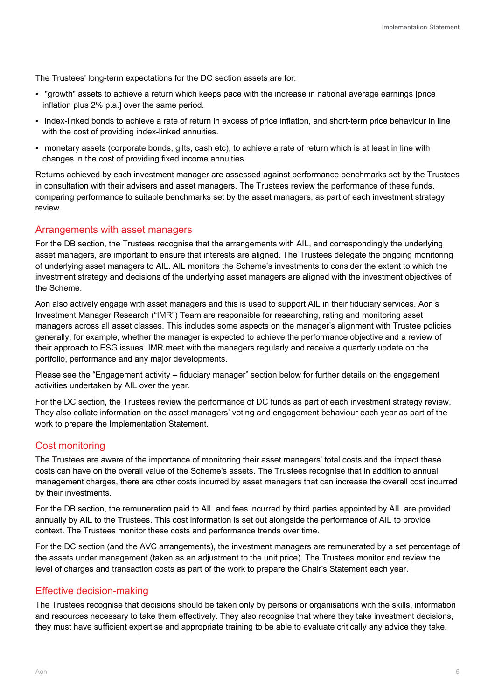The Trustees' long-term expectations for the DC section assets are for:

- "growth" assets to achieve a return which keeps pace with the increase in national average earnings [price inflation plus 2% p.a.] over the same period.
- index-linked bonds to achieve a rate of return in excess of price inflation, and short-term price behaviour in line with the cost of providing index-linked annuities.
- monetary assets (corporate bonds, gilts, cash etc), to achieve a rate of return which is at least in line with changes in the cost of providing fixed income annuities.

Returns achieved by each investment manager are assessed against performance benchmarks set by the Trustees in consultation with their advisers and asset managers. The Trustees review the performance of these funds, comparing performance to suitable benchmarks set by the asset managers, as part of each investment strategy review.

#### Arrangements with asset managers

For the DB section, the Trustees recognise that the arrangements with AIL, and correspondingly the underlying asset managers, are important to ensure that interests are aligned. The Trustees delegate the ongoing monitoring of underlying asset managers to AIL. AIL monitors the Scheme's investments to consider the extent to which the investment strategy and decisions of the underlying asset managers are aligned with the investment objectives of the Scheme.

Aon also actively engage with asset managers and this is used to support AIL in their fiduciary services. Aon's Investment Manager Research ("IMR") Team are responsible for researching, rating and monitoring asset managers across all asset classes. This includes some aspects on the manager's alignment with Trustee policies generally, for example, whether the manager is expected to achieve the performance objective and a review of their approach to ESG issues. IMR meet with the managers regularly and receive a quarterly update on the portfolio, performance and any major developments.

Please see the "Engagement activity – fiduciary manager" section below for further details on the engagement activities undertaken by AIL over the year.

For the DC section, the Trustees review the performance of DC funds as part of each investment strategy review. They also collate information on the asset managers' voting and engagement behaviour each year as part of the work to prepare the Implementation Statement.

#### Cost monitoring

The Trustees are aware of the importance of monitoring their asset managers' total costs and the impact these costs can have on the overall value of the Scheme's assets. The Trustees recognise that in addition to annual management charges, there are other costs incurred by asset managers that can increase the overall cost incurred by their investments.

For the DB section, the remuneration paid to AIL and fees incurred by third parties appointed by AIL are provided annually by AIL to the Trustees. This cost information is set out alongside the performance of AIL to provide context. The Trustees monitor these costs and performance trends over time.

For the DC section (and the AVC arrangements), the investment managers are remunerated by a set percentage of the assets under management (taken as an adjustment to the unit price). The Trustees monitor and review the level of charges and transaction costs as part of the work to prepare the Chair's Statement each year.

#### Effective decision-making

The Trustees recognise that decisions should be taken only by persons or organisations with the skills, information and resources necessary to take them effectively. They also recognise that where they take investment decisions, they must have sufficient expertise and appropriate training to be able to evaluate critically any advice they take.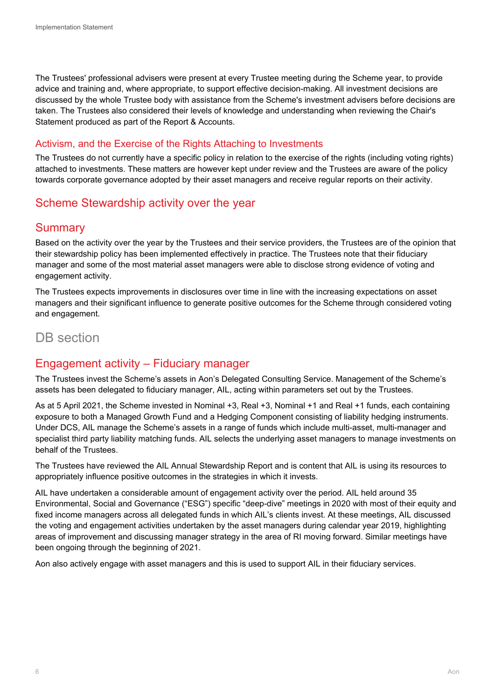The Trustees' professional advisers were present at every Trustee meeting during the Scheme year, to provide advice and training and, where appropriate, to support effective decision-making. All investment decisions are discussed by the whole Trustee body with assistance from the Scheme's investment advisers before decisions are taken. The Trustees also considered their levels of knowledge and understanding when reviewing the Chair's Statement produced as part of the Report & Accounts.

#### Activism, and the Exercise of the Rights Attaching to Investments

The Trustees do not currently have a specific policy in relation to the exercise of the rights (including voting rights) attached to investments. These matters are however kept under review and the Trustees are aware of the policy towards corporate governance adopted by their asset managers and receive regular reports on their activity.

## Scheme Stewardship activity over the year

## **Summary**

Based on the activity over the year by the Trustees and their service providers, the Trustees are of the opinion that their stewardship policy has been implemented effectively in practice. The Trustees note that their fiduciary manager and some of the most material asset managers were able to disclose strong evidence of voting and engagement activity.

The Trustees expects improvements in disclosures over time in line with the increasing expectations on asset managers and their significant influence to generate positive outcomes for the Scheme through considered voting and engagement.

## DB section

## Engagement activity – Fiduciary manager

The Trustees invest the Scheme's assets in Aon's Delegated Consulting Service. Management of the Scheme's assets has been delegated to fiduciary manager, AIL, acting within parameters set out by the Trustees.

As at 5 April 2021, the Scheme invested in Nominal +3, Real +3, Nominal +1 and Real +1 funds, each containing exposure to both a Managed Growth Fund and a Hedging Component consisting of liability hedging instruments. Under DCS, AIL manage the Scheme's assets in a range of funds which include multi-asset, multi-manager and specialist third party liability matching funds. AIL selects the underlying asset managers to manage investments on behalf of the Trustees.

The Trustees have reviewed the AIL Annual Stewardship Report and is content that AIL is using its resources to appropriately influence positive outcomes in the strategies in which it invests.

AIL have undertaken a considerable amount of engagement activity over the period. AIL held around 35 Environmental, Social and Governance ("ESG") specific "deep-dive" meetings in 2020 with most of their equity and fixed income managers across all delegated funds in which AIL's clients invest. At these meetings, AIL discussed the voting and engagement activities undertaken by the asset managers during calendar year 2019, highlighting areas of improvement and discussing manager strategy in the area of RI moving forward. Similar meetings have been ongoing through the beginning of 2021.

Aon also actively engage with asset managers and this is used to support AIL in their fiduciary services.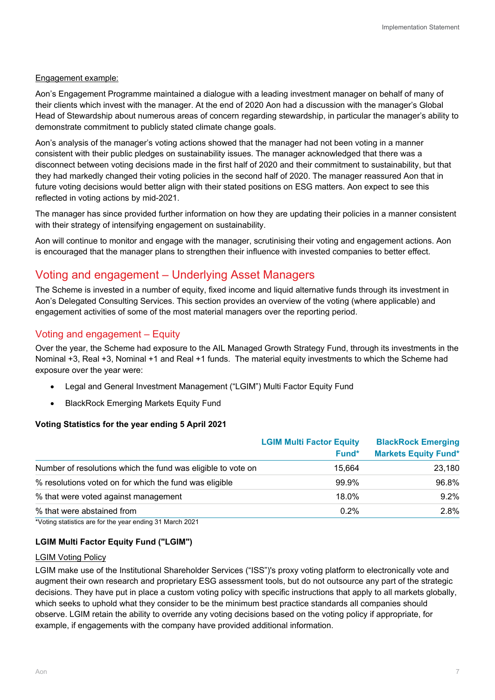#### Engagement example:

Aon's Engagement Programme maintained a dialogue with a leading investment manager on behalf of many of their clients which invest with the manager. At the end of 2020 Aon had a discussion with the manager's Global Head of Stewardship about numerous areas of concern regarding stewardship, in particular the manager's ability to demonstrate commitment to publicly stated climate change goals.

Aon's analysis of the manager's voting actions showed that the manager had not been voting in a manner consistent with their public pledges on sustainability issues. The manager acknowledged that there was a disconnect between voting decisions made in the first half of 2020 and their commitment to sustainability, but that they had markedly changed their voting policies in the second half of 2020. The manager reassured Aon that in future voting decisions would better align with their stated positions on ESG matters. Aon expect to see this reflected in voting actions by mid-2021.

The manager has since provided further information on how they are updating their policies in a manner consistent with their strategy of intensifying engagement on sustainability.

Aon will continue to monitor and engage with the manager, scrutinising their voting and engagement actions. Aon is encouraged that the manager plans to strengthen their influence with invested companies to better effect.

## Voting and engagement – Underlying Asset Managers

The Scheme is invested in a number of equity, fixed income and liquid alternative funds through its investment in Aon's Delegated Consulting Services. This section provides an overview of the voting (where applicable) and engagement activities of some of the most material managers over the reporting period.

#### Voting and engagement – Equity

Over the year, the Scheme had exposure to the AIL Managed Growth Strategy Fund, through its investments in the Nominal +3, Real +3, Nominal +1 and Real +1 funds. The material equity investments to which the Scheme had exposure over the year were:

- Legal and General Investment Management ("LGIM") Multi Factor Equity Fund
- BlackRock Emerging Markets Equity Fund

#### **Voting Statistics for the year ending 5 April 2021**

|                                                              | <b>LGIM Multi Factor Equity</b><br>Fund* | <b>BlackRock Emerging</b><br><b>Markets Equity Fund*</b> |
|--------------------------------------------------------------|------------------------------------------|----------------------------------------------------------|
| Number of resolutions which the fund was eligible to vote on | 15,664                                   | 23,180                                                   |
| % resolutions voted on for which the fund was eligible       | 99.9%                                    | 96.8%                                                    |
| % that were voted against management                         | 18.0%                                    | 9.2%                                                     |
| % that were abstained from                                   | 0.2%                                     | 2.8%                                                     |
| $\mathcal{L}$                                                |                                          |                                                          |

\*Voting statistics are for the year ending 31 March 2021

#### **LGIM Multi Factor Equity Fund ("LGIM")**

#### LGIM Voting Policy

LGIM make use of the Institutional Shareholder Services ("ISS")'s proxy voting platform to electronically vote and augment their own research and proprietary ESG assessment tools, but do not outsource any part of the strategic decisions. They have put in place a custom voting policy with specific instructions that apply to all markets globally, which seeks to uphold what they consider to be the minimum best practice standards all companies should observe. LGIM retain the ability to override any voting decisions based on the voting policy if appropriate, for example, if engagements with the company have provided additional information.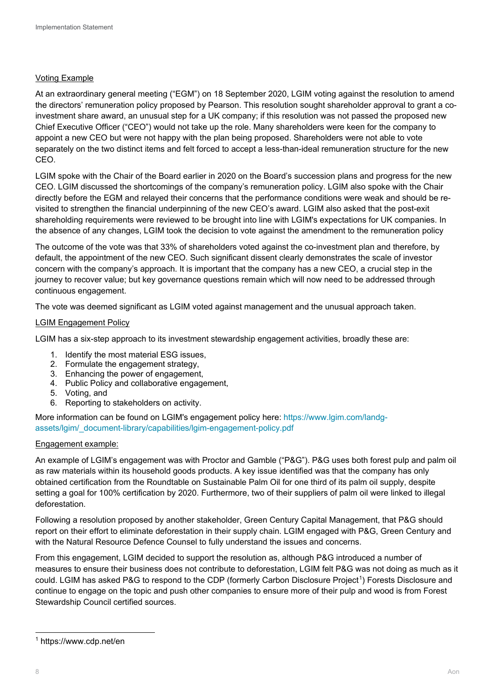#### Voting Example

At an extraordinary general meeting ("EGM") on 18 September 2020, LGIM voting against the resolution to amend the directors' remuneration policy proposed by Pearson. This resolution sought shareholder approval to grant a coinvestment share award, an unusual step for a UK company; if this resolution was not passed the proposed new Chief Executive Officer ("CEO") would not take up the role. Many shareholders were keen for the company to appoint a new CEO but were not happy with the plan being proposed. Shareholders were not able to vote separately on the two distinct items and felt forced to accept a less-than-ideal remuneration structure for the new CEO.

LGIM spoke with the Chair of the Board earlier in 2020 on the Board's succession plans and progress for the new CEO. LGIM discussed the shortcomings of the company's remuneration policy. LGIM also spoke with the Chair directly before the EGM and relayed their concerns that the performance conditions were weak and should be revisited to strengthen the financial underpinning of the new CEO's award. LGIM also asked that the post-exit shareholding requirements were reviewed to be brought into line with LGIM's expectations for UK companies. In the absence of any changes, LGIM took the decision to vote against the amendment to the remuneration policy

The outcome of the vote was that 33% of shareholders voted against the co-investment plan and therefore, by default, the appointment of the new CEO. Such significant dissent clearly demonstrates the scale of investor concern with the company's approach. It is important that the company has a new CEO, a crucial step in the journey to recover value; but key governance questions remain which will now need to be addressed through continuous engagement.

The vote was deemed significant as LGIM voted against management and the unusual approach taken.

#### LGIM Engagement Policy

LGIM has a six-step approach to its investment stewardship engagement activities, broadly these are:

- 1. Identify the most material ESG issues,
- 2. Formulate the engagement strategy,
- 3. Enhancing the power of engagement,
- 4. Public Policy and collaborative engagement,
- 5. Voting, and
- 6. Reporting to stakeholders on activity.

More information can be found on LGIM's engagement policy here: https://www.lgim.com/landgassets/lgim/\_document-library/capabilities/lgim-engagement-policy.pdf

#### Engagement example:

An example of LGIM's engagement was with Proctor and Gamble ("P&G"). P&G uses both forest pulp and palm oil as raw materials within its household goods products. A key issue identified was that the company has only obtained certification from the Roundtable on Sustainable Palm Oil for one third of its palm oil supply, despite setting a goal for 100% certification by 2020. Furthermore, two of their suppliers of palm oil were linked to illegal deforestation.

Following a resolution proposed by another stakeholder, Green Century Capital Management, that P&G should report on their effort to eliminate deforestation in their supply chain. LGIM engaged with P&G, Green Century and with the Natural Resource Defence Counsel to fully understand the issues and concerns.

From this engagement, LGIM decided to support the resolution as, although P&G introduced a number of measures to ensure their business does not contribute to deforestation, LGIM felt P&G was not doing as much as it could. LGIM has asked P&G to respond to the CDP (formerly Carbon Disclosure Project<sup>1</sup>) Forests Disclosure and continue to engage on the topic and push other companies to ensure more of their pulp and wood is from Forest Stewardship Council certified sources.

<span id="page-5-0"></span><sup>1</sup> https://www.cdp.net/en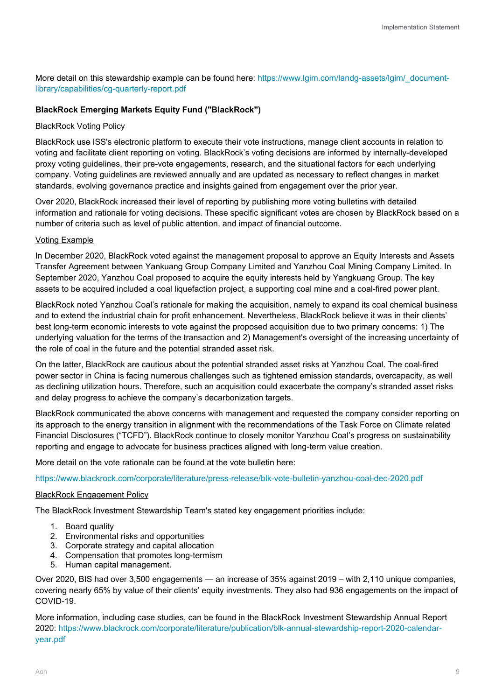More detail on this stewardship example can be found here: https://www.lgim.com/landg-assets/lgim/\_documentlibrary/capabilities/cg-quarterly-report.pdf

#### **BlackRock Emerging Markets Equity Fund ("BlackRock")**

#### BlackRock Voting Policy

BlackRock use ISS's electronic platform to execute their vote instructions, manage client accounts in relation to voting and facilitate client reporting on voting. BlackRock's voting decisions are informed by internally-developed proxy voting guidelines, their pre-vote engagements, research, and the situational factors for each underlying company. Voting guidelines are reviewed annually and are updated as necessary to reflect changes in market standards, evolving governance practice and insights gained from engagement over the prior year.

Over 2020, BlackRock increased their level of reporting by publishing more voting bulletins with detailed information and rationale for voting decisions. These specific significant votes are chosen by BlackRock based on a number of criteria such as level of public attention, and impact of financial outcome.

#### Voting Example

In December 2020, BlackRock voted against the management proposal to approve an Equity Interests and Assets Transfer Agreement between Yankuang Group Company Limited and Yanzhou Coal Mining Company Limited. In September 2020, Yanzhou Coal proposed to acquire the equity interests held by Yangkuang Group. The key assets to be acquired included a coal liquefaction project, a supporting coal mine and a coal-fired power plant.

BlackRock noted Yanzhou Coal's rationale for making the acquisition, namely to expand its coal chemical business and to extend the industrial chain for profit enhancement. Nevertheless, BlackRock believe it was in their clients' best long-term economic interests to vote against the proposed acquisition due to two primary concerns: 1) The underlying valuation for the terms of the transaction and 2) Management's oversight of the increasing uncertainty of the role of coal in the future and the potential stranded asset risk.

On the latter, BlackRock are cautious about the potential stranded asset risks at Yanzhou Coal. The coal-fired power sector in China is facing numerous challenges such as tightened emission standards, overcapacity, as well as declining utilization hours. Therefore, such an acquisition could exacerbate the company's stranded asset risks and delay progress to achieve the company's decarbonization targets.

BlackRock communicated the above concerns with management and requested the company consider reporting on its approach to the energy transition in alignment with the recommendations of the Task Force on Climate related Financial Disclosures ("TCFD"). BlackRock continue to closely monitor Yanzhou Coal's progress on sustainability reporting and engage to advocate for business practices aligned with long-term value creation.

More detail on the vote rationale can be found at the vote bulletin here:

<https://www.blackrock.com/corporate/literature/press-release/blk-vote-bulletin-yanzhou-coal-dec-2020.pdf>

#### BlackRock Engagement Policy

The BlackRock Investment Stewardship Team's stated key engagement priorities include:

- 1. Board quality
- 2. Environmental risks and opportunities
- 3. Corporate strategy and capital allocation
- 4. Compensation that promotes long-termism
- 5. Human capital management.

Over 2020, BIS had over 3,500 engagements — an increase of 35% against 2019 – with 2,110 unique companies, covering nearly 65% by value of their clients' equity investments. They also had 936 engagements on the impact of COVID-19.

More information, including case studies, can be found in the BlackRock Investment Stewardship Annual Report 2020: [https://www.blackrock.com/corporate/literature/publication/blk-annual-stewardship-report-2020-calendar](https://www.blackrock.com/corporate/literature/publication/blk-annual-stewardship-report-2020-calendar-year.pdf)[year.pdf](https://www.blackrock.com/corporate/literature/publication/blk-annual-stewardship-report-2020-calendar-year.pdf)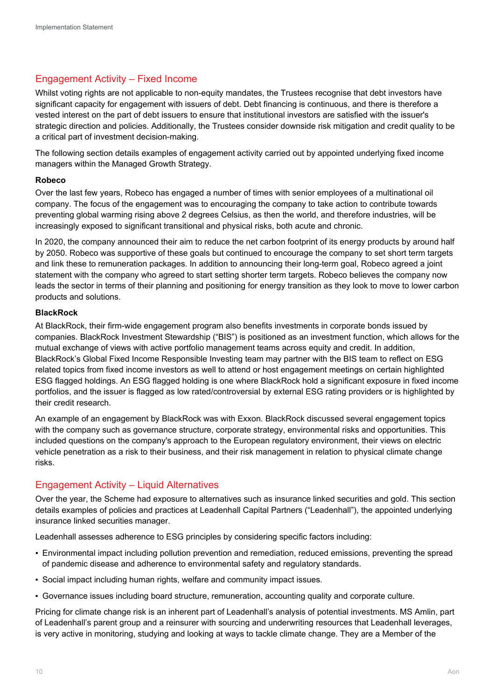### Engagement Activity – Fixed Income

Whilst voting rights are not applicable to non-equity mandates, the Trustees recognise that debt investors have significant capacity for engagement with issuers of debt. Debt financing is continuous, and there is therefore a vested interest on the part of debt issuers to ensure that institutional investors are satisfied with the issuer's strategic direction and policies. Additionally, the Trustees consider downside risk mitigation and credit quality to be a critical part of investment decision-making.

The following section details examples of engagement activity carried out by appointed underlying fixed income managers within the Managed Growth Strategy.

#### **Robeco**

Over the last few years, Robeco has engaged a number of times with senior employees of a multinational oil company. The focus of the engagement was to encouraging the company to take action to contribute towards preventing global warming rising above 2 degrees Celsius, as then the world, and therefore industries, will be increasingly exposed to significant transitional and physical risks, both acute and chronic.

In 2020, the company announced their aim to reduce the net carbon footprint of its energy products by around half by 2050. Robeco was supportive of these goals but continued to encourage the company to set short term targets and link these to remuneration packages. In addition to announcing their long-term goal, Robeco agreed a joint statement with the company who agreed to start setting shorter term targets. Robeco believes the company now leads the sector in terms of their planning and positioning for energy transition as they look to move to lower carbon products and solutions.

#### **BlackRock**

At BlackRock, their firm-wide engagement program also benefits investments in corporate bonds issued by companies. BlackRock Investment Stewardship ("BIS") is positioned as an investment function, which allows for the mutual exchange of views with active portfolio management teams across equity and credit. In addition, BlackRock's Global Fixed Income Responsible Investing team may partner with the BIS team to reflect on ESG related topics from fixed income investors as well to attend or host engagement meetings on certain highlighted ESG flagged holdings. An ESG flagged holding is one where BlackRock hold a significant exposure in fixed income portfolios, and the issuer is flagged as low rated/controversial by external ESG rating providers or is highlighted by their credit research.

An example of an engagement by BlackRock was with Exxon. BlackRock discussed several engagement topics with the company such as governance structure, corporate strategy, environmental risks and opportunities. This included questions on the company's approach to the European regulatory environment, their views on electric vehicle penetration as a risk to their business, and their risk management in relation to physical climate change risks.

#### Engagement Activity – Liquid Alternatives

Over the year, the Scheme had exposure to alternatives such as insurance linked securities and gold. This section details examples of policies and practices at Leadenhall Capital Partners ("Leadenhall"), the appointed underlying insurance linked securities manager.

Leadenhall assesses adherence to ESG principles by considering specific factors including:

- Environmental impact including pollution prevention and remediation, reduced emissions, preventing the spread of pandemic disease and adherence to environmental safety and regulatory standards.
- Social impact including human rights, welfare and community impact issues.
- Governance issues including board structure, remuneration, accounting quality and corporate culture.

Pricing for climate change risk is an inherent part of Leadenhall's analysis of potential investments. MS Amlin, part of Leadenhall's parent group and a reinsurer with sourcing and underwriting resources that Leadenhall leverages, is very active in monitoring, studying and looking at ways to tackle climate change. They are a Member of the